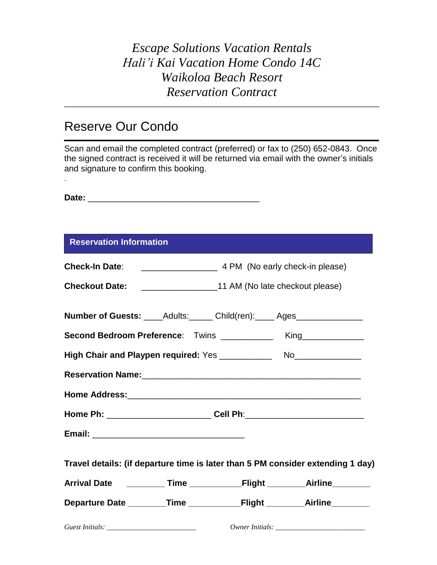## Reserve Our Condo

Scan and email the completed contract (preferred) or fax to (250) 652-0843. Once the signed contract is received it will be returned via email with the owner's initials and signature to confirm this booking. .

**Date:** \_\_\_\_\_\_\_\_\_\_\_\_\_\_\_\_\_\_\_\_\_\_\_\_\_\_\_\_\_\_\_\_\_\_\_\_

| <b>Reservation Information</b> |  |
|--------------------------------|--|
|                                |  |

|  | Number of Guests: _____Adults: ______ Child(ren): _____ Ages_______________      |
|--|----------------------------------------------------------------------------------|
|  | Second Bedroom Preference: Twins _____________ King____________                  |
|  |                                                                                  |
|  |                                                                                  |
|  |                                                                                  |
|  | Home Ph: ______________________________Cell Ph:_________________________________ |
|  |                                                                                  |
|  | Travel details: (if departure time is later than 5 PM consider extending 1 day)  |
|  |                                                                                  |
|  |                                                                                  |
|  |                                                                                  |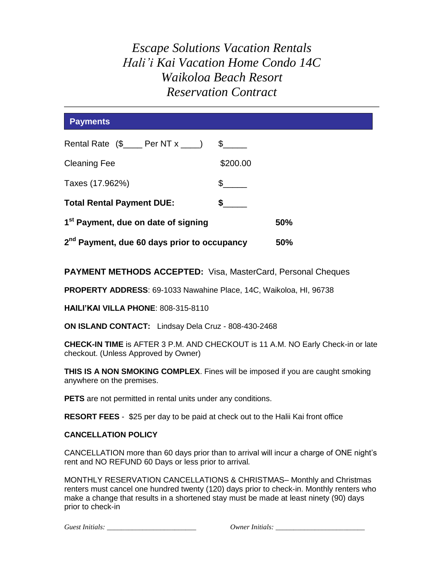| <b>Payments</b>                                         |               |     |
|---------------------------------------------------------|---------------|-----|
|                                                         | $\mathcal{S}$ |     |
| <b>Cleaning Fee</b>                                     | \$200.00      |     |
| Taxes (17.962%)                                         | $\mathbb{S}$  |     |
| <b>Total Rental Payment DUE:</b>                        | \$            |     |
| 1 <sup>st</sup> Payment, due on date of signing         |               | 50% |
| 2 <sup>nd</sup> Payment, due 60 days prior to occupancy |               | 50% |

**PAYMENT METHODS ACCEPTED:** Visa, MasterCard, Personal Cheques

**PROPERTY ADDRESS**: [69-1033 Nawahine Place, 14C, Waikoloa, HI, 96738](http://maps.google.com/maps?q=691033++NAWAHINE%20PL+96738&iwloc=A&hl=en&t=h)

**HAILI'KAI VILLA PHONE**: 808-315-8110

**ON ISLAND CONTACT:** Lindsay Dela Cruz - 808-430-2468

**CHECK-IN TIME** is AFTER 3 P.M. AND CHECKOUT is 11 A.M. NO Early Check-in or late checkout. (Unless Approved by Owner)

**THIS IS A NON SMOKING COMPLEX**. Fines will be imposed if you are caught smoking anywhere on the premises.

**PETS** are not permitted in rental units under any conditions.

**RESORT FEES** - \$25 per day to be paid at check out to the Halii Kai front office

#### **CANCELLATION POLICY**

CANCELLATION more than 60 days prior than to arrival will incur a charge of ONE night's rent and NO REFUND 60 Days or less prior to arrival*.*

MONTHLY RESERVATION CANCELLATIONS & CHRISTMAS– Monthly and Christmas renters must cancel one hundred twenty (120) days prior to check-in. Monthly renters who make a change that results in a shortened stay must be made at least ninety (90) days prior to check-in

*Guest Initials: \_\_\_\_\_\_\_\_\_\_\_\_\_\_\_\_\_\_\_\_\_\_\_\_\_ Owner Initials: \_\_\_\_\_\_\_\_\_\_\_\_\_\_\_\_\_\_\_\_\_\_\_\_\_*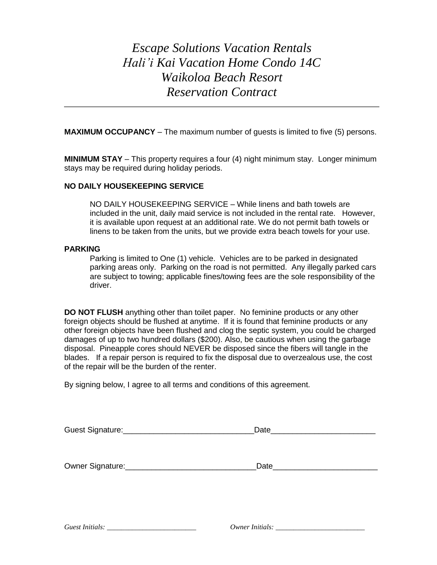**MAXIMUM OCCUPANCY** – The maximum number of guests is limited to five (5) persons.

**MINIMUM STAY** – This property requires a four (4) night minimum stay. Longer minimum stays may be required during holiday periods.

#### **NO DAILY HOUSEKEEPING SERVICE**

NO DAILY HOUSEKEEPING SERVICE – While linens and bath towels are included in the unit, daily maid service is not included in the rental rate. However, it is available upon request at an additional rate. We do not permit bath towels or linens to be taken from the units, but we provide extra beach towels for your use.

#### **PARKING**

Parking is limited to One (1) vehicle. Vehicles are to be parked in designated parking areas only. Parking on the road is not permitted. Any illegally parked cars are subject to towing; applicable fines/towing fees are the sole responsibility of the driver.

**DO NOT FLUSH** anything other than toilet paper. No feminine products or any other foreign objects should be flushed at anytime. If it is found that feminine products or any other foreign objects have been flushed and clog the septic system, you could be charged damages of up to two hundred dollars (\$200). Also, be cautious when using the garbage disposal. Pineapple cores should NEVER be disposed since the fibers will tangle in the blades. If a repair person is required to fix the disposal due to overzealous use, the cost of the repair will be the burden of the renter.

By signing below, I agree to all terms and conditions of this agreement.

| Guest Signature: | Date |  |
|------------------|------|--|
|                  |      |  |
|                  |      |  |
|                  |      |  |

Owner Signature:\_\_\_\_\_\_\_\_\_\_\_\_\_\_\_\_\_\_\_\_\_\_\_\_\_\_\_\_\_\_Date\_\_\_\_\_\_\_\_\_\_\_\_\_\_\_\_\_\_\_\_\_\_\_\_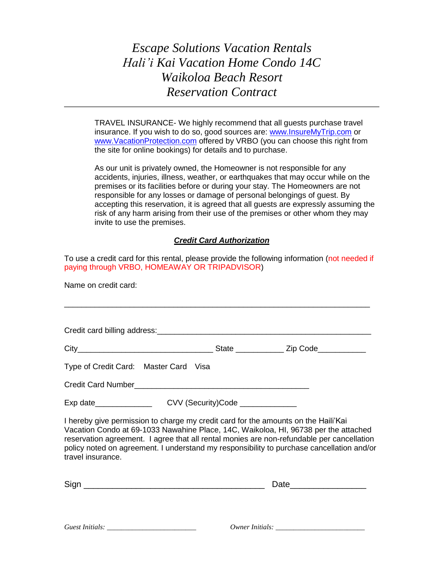TRAVEL INSURANCE- We highly recommend that all guests purchase travel insurance. If you wish to do so, good sources are: [www.InsureMyTrip.com](http://www.insuremytrip.com/) or [www.VacationProtection.com](http://www.vacationprotection.com/) offered by VRBO (you can choose this right from the site for online bookings) for details and to purchase.

As our unit is privately owned, the Homeowner is not responsible for any accidents, injuries, illness, weather, or earthquakes that may occur while on the premises or its facilities before or during your stay. The Homeowners are not responsible for any losses or damage of personal belongings of guest. By accepting this reservation, it is agreed that all guests are expressly assuming the risk of any harm arising from their use of the premises or other whom they may invite to use the premises.

### *Credit Card Authorization*

To use a credit card for this rental, please provide the following information (not needed if paying through VRBO, HOMEAWAY OR TRIPADVISOR)

Name on credit card:

Credit card billing address:  $\Box$ 

\_\_\_\_\_\_\_\_\_\_\_\_\_\_\_\_\_\_\_\_\_\_\_\_\_\_\_\_\_\_\_\_\_\_\_\_\_\_\_\_\_\_\_\_\_\_\_\_\_\_\_\_\_\_\_\_\_\_\_\_\_\_\_\_\_\_\_\_\_\_

| ∩itv |  |         |
|------|--|---------|
| ◡    |  | <br>. . |

| Type of Credit Card: Master Card Visa |  |
|---------------------------------------|--|
|                                       |  |

Credit Card Number

Exp date\_\_\_\_\_\_\_\_\_\_\_\_\_\_\_\_\_\_\_\_\_\_CVV (Security)Code \_\_\_\_\_\_\_\_\_\_\_\_\_\_\_\_\_\_\_\_\_\_\_\_\_\_\_\_\_\_\_

I hereby give permission to charge my credit card for the amounts on the Haili'Kai Vacation Condo at [69-1033 Nawahine Place, 14C, Waikoloa, HI, 96738](http://maps.google.com/maps?q=691033++NAWAHINE%20PL+96738&iwloc=A&hl=en&t=h) per the attached reservation agreement. I agree that all rental monies are non-refundable per cancellation policy noted on agreement. I understand my responsibility to purchase cancellation and/or travel insurance.

| $\rightarrow$ |  |
|---------------|--|
|               |  |

| Guest Initials: |
|-----------------|
|                 |

*Guest Initials: \_\_\_\_\_\_\_\_\_\_\_\_\_\_\_\_\_\_\_\_\_\_\_\_\_ Owner Initials: \_\_\_\_\_\_\_\_\_\_\_\_\_\_\_\_\_\_\_\_\_\_\_\_\_*